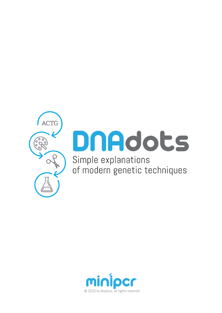

# DNAdots Simple explanations

of modern genetic techniques

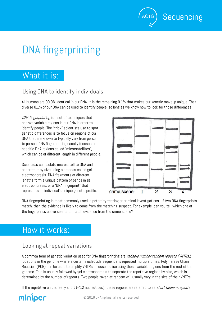## DNA fingerprinting

## What it is:

### **Using DNA to identify individuals**

All humans are 99.9% identical in our DNA. It is the remaining 0.1% that makes our genetic makeup unique. That diverse 0.1% of our DNA can be used to identify people, so long as we know how to look for those differences.

DNA fingerprinting is a set of techniques that analyze variable regions in our DNA in order to identify people. The "trick" scientists use to spot genetic differences is to focus on regions of our DNA that are known to typically vary from person to person. DNA fingerprinting usually focuses on specific DNA regions called "microsatellites", which can be of different length in different people.

Scientists can isolate microsatellite DNA and separate it by size using a process called gel electrophoresis. DNA fragments of different lengths form a unique pattern of bands in gel electrophoresis, or a "DNA fingerprint" that represents an individual's unique genetic profile.



Sequencing

DNA fingerprinting is most commonly used in paternity testing or criminal investigations. If two DNA fingerprints match, then the evidence is likely to come from the matching suspect. For example, can you tell which one of the fingerprints above seems to match evidence from the crime scene?

## How it works:

#### **Looking at repeat variations**

A common form of genetic variation used for DNA fingerprinting are *variable number tandem repeats (VNTRs)*, locations in the genome where a certain nucleotide sequence is repeated multiple times. Polymerase Chain Reaction (PCR) can be used to amplify VNTRs, in essence isolating these variable regions from the rest of the genome. This is usually followed by gel electrophoresis to separate the repetitive regions by size, which is determined by the number of repeats. Two people taken at random will usually vary in the size of their VNTRs.

If the repetitive unit is really short  $(12$  nucleotides), these regions are referred to as *short tandem repeats*